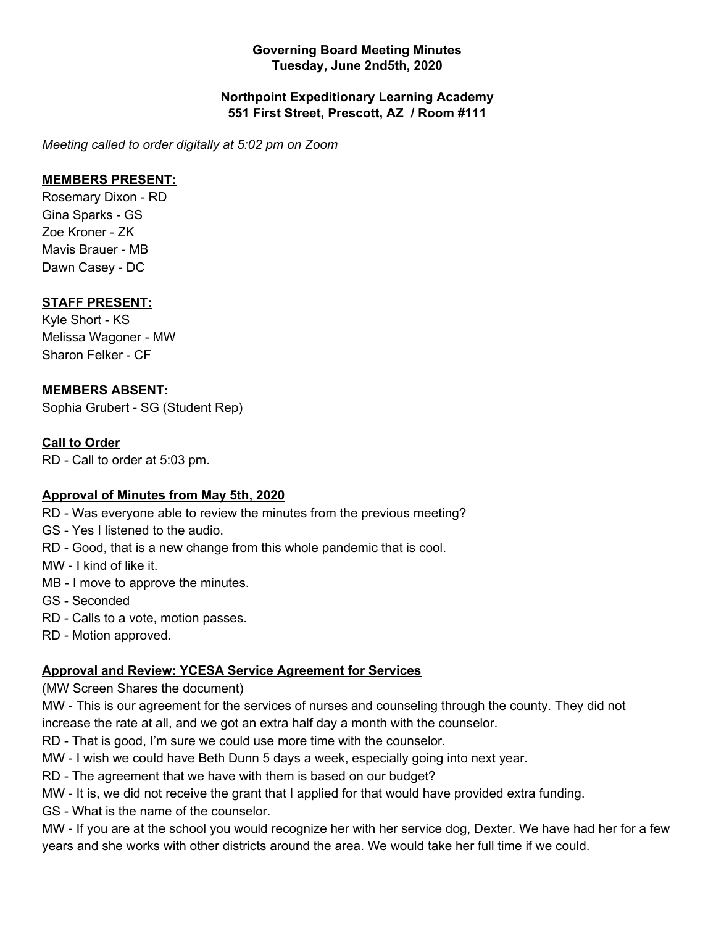#### **Governing Board Meeting Minutes Tuesday, June 2nd5th, 2020**

#### **Northpoint Expeditionary Learning Academy 551 First Street, Prescott, AZ / Room #111**

*Meeting called to order digitally at 5:02 pm on Zoom*

# **MEMBERS PRESENT:**

Rosemary Dixon - RD Gina Sparks - GS Zoe Kroner - ZK Mavis Brauer - MB Dawn Casey - DC

# **STAFF PRESENT:**

Kyle Short - KS Melissa Wagoner - MW Sharon Felker - CF

# **MEMBERS ABSENT:**

Sophia Grubert - SG (Student Rep)

#### **Call to Order**

RD - Call to order at 5:03 pm.

#### **Approval of Minutes from May 5th, 2020**

RD - Was everyone able to review the minutes from the previous meeting?

GS - Yes I listened to the audio.

RD - Good, that is a new change from this whole pandemic that is cool.

MW - I kind of like it.

- MB I move to approve the minutes.
- GS Seconded
- RD Calls to a vote, motion passes.
- RD Motion approved.

#### **Approval and Review: YCESA Service Agreement for Services**

(MW Screen Shares the document)

MW - This is our agreement for the services of nurses and counseling through the county. They did not increase the rate at all, and we got an extra half day a month with the counselor.

RD - That is good, I'm sure we could use more time with the counselor.

MW - I wish we could have Beth Dunn 5 days a week, especially going into next year.

RD - The agreement that we have with them is based on our budget?

MW - It is, we did not receive the grant that I applied for that would have provided extra funding.

GS - What is the name of the counselor.

MW - If you are at the school you would recognize her with her service dog, Dexter. We have had her for a few years and she works with other districts around the area. We would take her full time if we could.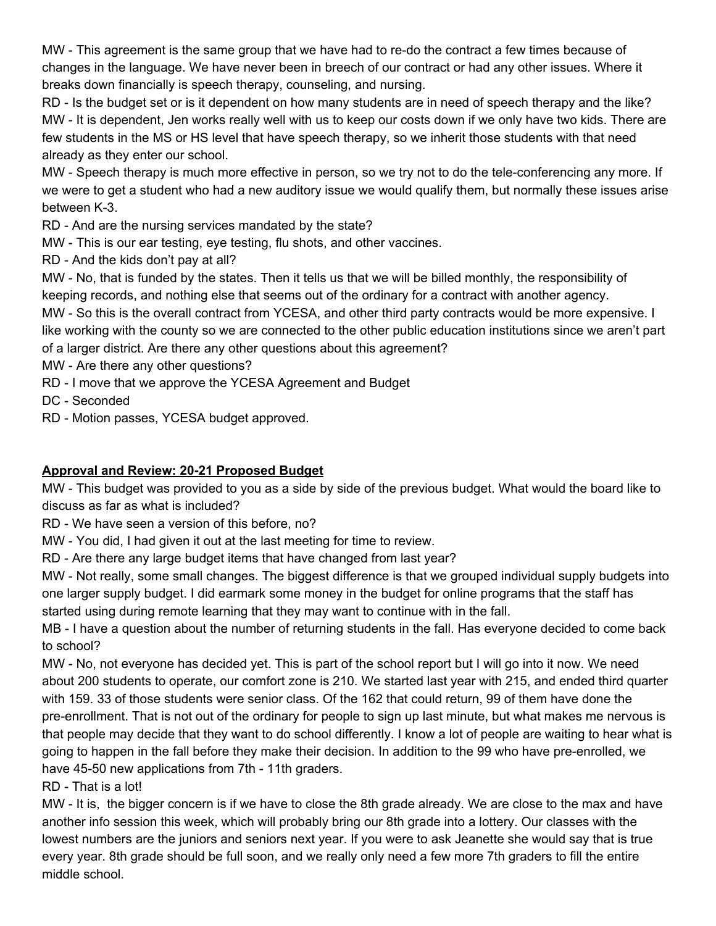MW - This agreement is the same group that we have had to re-do the contract a few times because of changes in the language. We have never been in breech of our contract or had any other issues. Where it breaks down financially is speech therapy, counseling, and nursing.

RD - Is the budget set or is it dependent on how many students are in need of speech therapy and the like? MW - It is dependent, Jen works really well with us to keep our costs down if we only have two kids. There are few students in the MS or HS level that have speech therapy, so we inherit those students with that need already as they enter our school.

MW - Speech therapy is much more effective in person, so we try not to do the tele-conferencing any more. If we were to get a student who had a new auditory issue we would qualify them, but normally these issues arise between K-3.

RD - And are the nursing services mandated by the state?

MW - This is our ear testing, eye testing, flu shots, and other vaccines.

RD - And the kids don't pay at all?

MW - No, that is funded by the states. Then it tells us that we will be billed monthly, the responsibility of keeping records, and nothing else that seems out of the ordinary for a contract with another agency.

MW - So this is the overall contract from YCESA, and other third party contracts would be more expensive. I

like working with the county so we are connected to the other public education institutions since we aren't part of a larger district. Are there any other questions about this agreement?

MW - Are there any other questions?

RD - I move that we approve the YCESA Agreement and Budget

DC - Seconded

RD - Motion passes, YCESA budget approved.

# **Approval and Review: 20-21 Proposed Budget**

MW - This budget was provided to you as a side by side of the previous budget. What would the board like to discuss as far as what is included?

RD - We have seen a version of this before, no?

MW - You did, I had given it out at the last meeting for time to review.

RD - Are there any large budget items that have changed from last year?

MW - Not really, some small changes. The biggest difference is that we grouped individual supply budgets into one larger supply budget. I did earmark some money in the budget for online programs that the staff has started using during remote learning that they may want to continue with in the fall.

MB - I have a question about the number of returning students in the fall. Has everyone decided to come back to school?

MW - No, not everyone has decided yet. This is part of the school report but I will go into it now. We need about 200 students to operate, our comfort zone is 210. We started last year with 215, and ended third quarter with 159. 33 of those students were senior class. Of the 162 that could return, 99 of them have done the pre-enrollment. That is not out of the ordinary for people to sign up last minute, but what makes me nervous is that people may decide that they want to do school differently. I know a lot of people are waiting to hear what is going to happen in the fall before they make their decision. In addition to the 99 who have pre-enrolled, we have 45-50 new applications from 7th - 11th graders.

RD - That is a lot!

MW - It is, the bigger concern is if we have to close the 8th grade already. We are close to the max and have another info session this week, which will probably bring our 8th grade into a lottery. Our classes with the lowest numbers are the juniors and seniors next year. If you were to ask Jeanette she would say that is true every year. 8th grade should be full soon, and we really only need a few more 7th graders to fill the entire middle school.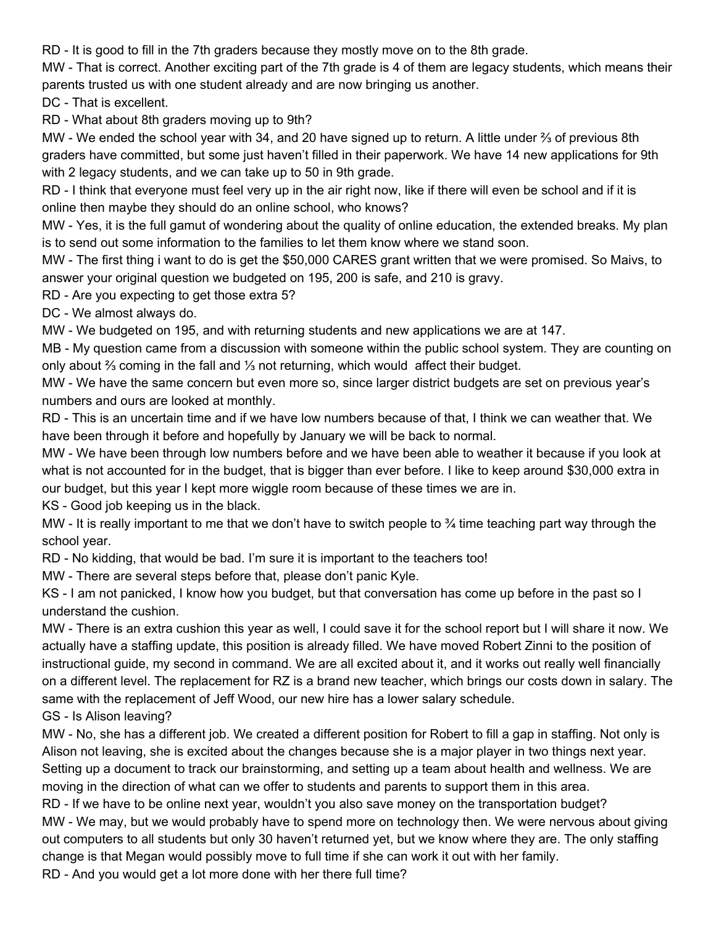RD - It is good to fill in the 7th graders because they mostly move on to the 8th grade.

MW - That is correct. Another exciting part of the 7th grade is 4 of them are legacy students, which means their parents trusted us with one student already and are now bringing us another.

DC - That is excellent.

RD - What about 8th graders moving up to 9th?

MW - We ended the school year with 34, and 20 have signed up to return. A little under ⅔ of previous 8th graders have committed, but some just haven't filled in their paperwork. We have 14 new applications for 9th with 2 legacy students, and we can take up to 50 in 9th grade.

RD - I think that everyone must feel very up in the air right now, like if there will even be school and if it is online then maybe they should do an online school, who knows?

MW - Yes, it is the full gamut of wondering about the quality of online education, the extended breaks. My plan is to send out some information to the families to let them know where we stand soon.

MW - The first thing i want to do is get the \$50,000 CARES grant written that we were promised. So Maivs, to answer your original question we budgeted on 195, 200 is safe, and 210 is gravy.

RD - Are you expecting to get those extra 5?

DC - We almost always do.

MW - We budgeted on 195, and with returning students and new applications we are at 147.

MB - My question came from a discussion with someone within the public school system. They are counting on only about ⅔ coming in the fall and ⅓ not returning, which would affect their budget.

MW - We have the same concern but even more so, since larger district budgets are set on previous year's numbers and ours are looked at monthly.

RD - This is an uncertain time and if we have low numbers because of that, I think we can weather that. We have been through it before and hopefully by January we will be back to normal.

MW - We have been through low numbers before and we have been able to weather it because if you look at what is not accounted for in the budget, that is bigger than ever before. I like to keep around \$30,000 extra in our budget, but this year I kept more wiggle room because of these times we are in.

KS - Good job keeping us in the black.

MW - It is really important to me that we don't have to switch people to  $\frac{3}{4}$  time teaching part way through the school year.

RD - No kidding, that would be bad. I'm sure it is important to the teachers too!

MW - There are several steps before that, please don't panic Kyle.

KS - I am not panicked, I know how you budget, but that conversation has come up before in the past so I understand the cushion.

MW - There is an extra cushion this year as well, I could save it for the school report but I will share it now. We actually have a staffing update, this position is already filled. We have moved Robert Zinni to the position of instructional guide, my second in command. We are all excited about it, and it works out really well financially on a different level. The replacement for RZ is a brand new teacher, which brings our costs down in salary. The same with the replacement of Jeff Wood, our new hire has a lower salary schedule.

GS - Is Alison leaving?

MW - No, she has a different job. We created a different position for Robert to fill a gap in staffing. Not only is Alison not leaving, she is excited about the changes because she is a major player in two things next year. Setting up a document to track our brainstorming, and setting up a team about health and wellness. We are moving in the direction of what can we offer to students and parents to support them in this area.

RD - If we have to be online next year, wouldn't you also save money on the transportation budget? MW - We may, but we would probably have to spend more on technology then. We were nervous about giving out computers to all students but only 30 haven't returned yet, but we know where they are. The only staffing change is that Megan would possibly move to full time if she can work it out with her family.

RD - And you would get a lot more done with her there full time?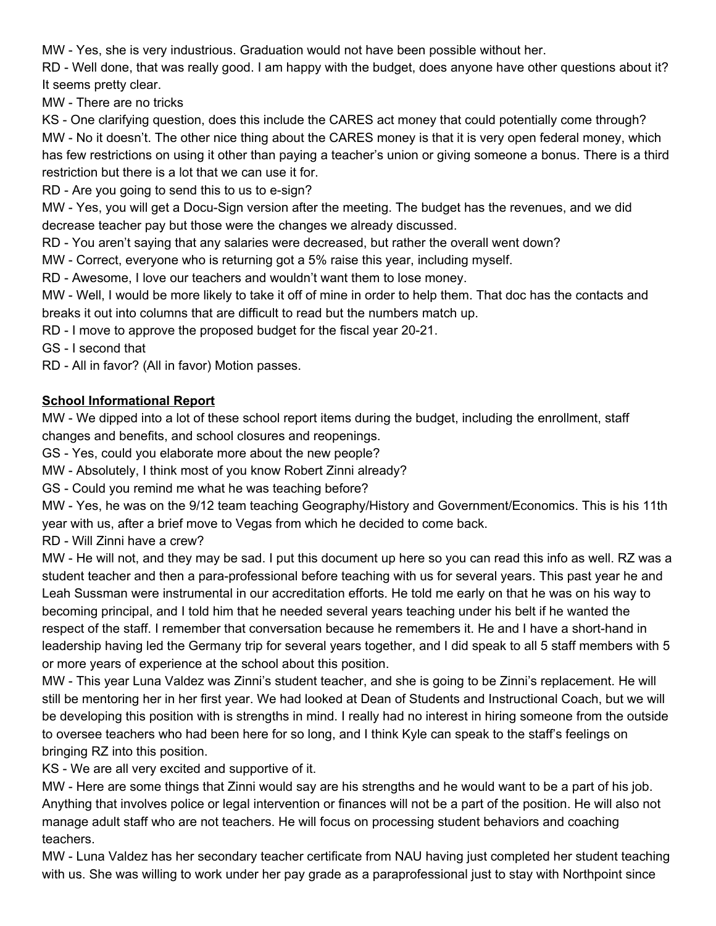MW - Yes, she is very industrious. Graduation would not have been possible without her.

RD - Well done, that was really good. I am happy with the budget, does anyone have other questions about it? It seems pretty clear.

MW - There are no tricks

KS - One clarifying question, does this include the CARES act money that could potentially come through? MW - No it doesn't. The other nice thing about the CARES money is that it is very open federal money, which has few restrictions on using it other than paying a teacher's union or giving someone a bonus. There is a third restriction but there is a lot that we can use it for.

RD - Are you going to send this to us to e-sign?

MW - Yes, you will get a Docu-Sign version after the meeting. The budget has the revenues, and we did decrease teacher pay but those were the changes we already discussed.

RD - You aren't saying that any salaries were decreased, but rather the overall went down?

MW - Correct, everyone who is returning got a 5% raise this year, including myself.

RD - Awesome, I love our teachers and wouldn't want them to lose money.

MW - Well, I would be more likely to take it off of mine in order to help them. That doc has the contacts and breaks it out into columns that are difficult to read but the numbers match up.

RD - I move to approve the proposed budget for the fiscal year 20-21.

GS - I second that

RD - All in favor? (All in favor) Motion passes.

# **School Informational Report**

MW - We dipped into a lot of these school report items during the budget, including the enrollment, staff changes and benefits, and school closures and reopenings.

GS - Yes, could you elaborate more about the new people?

MW - Absolutely, I think most of you know Robert Zinni already?

GS - Could you remind me what he was teaching before?

MW - Yes, he was on the 9/12 team teaching Geography/History and Government/Economics. This is his 11th year with us, after a brief move to Vegas from which he decided to come back.

RD - Will Zinni have a crew?

MW - He will not, and they may be sad. I put this document up here so you can read this info as well. RZ was a student teacher and then a para-professional before teaching with us for several years. This past year he and Leah Sussman were instrumental in our accreditation efforts. He told me early on that he was on his way to becoming principal, and I told him that he needed several years teaching under his belt if he wanted the respect of the staff. I remember that conversation because he remembers it. He and I have a short-hand in leadership having led the Germany trip for several years together, and I did speak to all 5 staff members with 5 or more years of experience at the school about this position.

MW - This year Luna Valdez was Zinni's student teacher, and she is going to be Zinni's replacement. He will still be mentoring her in her first year. We had looked at Dean of Students and Instructional Coach, but we will be developing this position with is strengths in mind. I really had no interest in hiring someone from the outside to oversee teachers who had been here for so long, and I think Kyle can speak to the staff's feelings on bringing RZ into this position.

KS - We are all very excited and supportive of it.

MW - Here are some things that Zinni would say are his strengths and he would want to be a part of his job. Anything that involves police or legal intervention or finances will not be a part of the position. He will also not manage adult staff who are not teachers. He will focus on processing student behaviors and coaching teachers.

MW - Luna Valdez has her secondary teacher certificate from NAU having just completed her student teaching with us. She was willing to work under her pay grade as a paraprofessional just to stay with Northpoint since